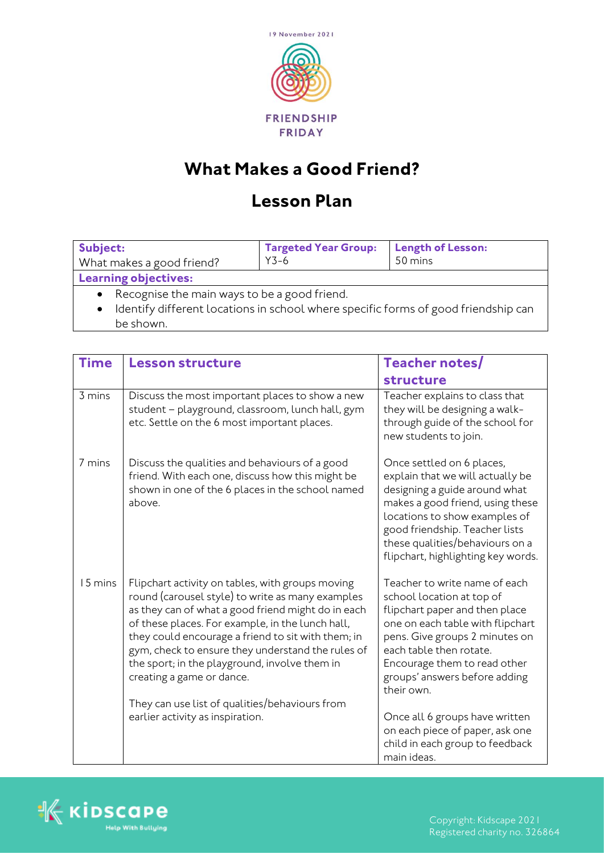

## **What Makes a Good Friend?**

## **Lesson Plan**

| Subject:                                                                           | <b>Targeted Year Group:</b> | <b>Length of Lesson:</b> |  |  |
|------------------------------------------------------------------------------------|-----------------------------|--------------------------|--|--|
| What makes a good friend?                                                          | $Y3-6$                      | 50 mins                  |  |  |
| <b>Learning objectives:</b>                                                        |                             |                          |  |  |
| Recognise the main ways to be a good friend.                                       |                             |                          |  |  |
| Identify different locations in school where specific forms of good friendship can |                             |                          |  |  |
| be shown.                                                                          |                             |                          |  |  |

| <b>Time</b> | <b>Lesson structure</b>                                                                                                                                                                                                                                                                                                                                                                                 | Teacher notes/                                                                                                                                                                                                                                                                 |
|-------------|---------------------------------------------------------------------------------------------------------------------------------------------------------------------------------------------------------------------------------------------------------------------------------------------------------------------------------------------------------------------------------------------------------|--------------------------------------------------------------------------------------------------------------------------------------------------------------------------------------------------------------------------------------------------------------------------------|
|             |                                                                                                                                                                                                                                                                                                                                                                                                         | structure                                                                                                                                                                                                                                                                      |
| 3 mins      | Discuss the most important places to show a new<br>student - playground, classroom, lunch hall, gym<br>etc. Settle on the 6 most important places.                                                                                                                                                                                                                                                      | Teacher explains to class that<br>they will be designing a walk-<br>through guide of the school for<br>new students to join.                                                                                                                                                   |
| 7 mins      | Discuss the qualities and behaviours of a good<br>friend. With each one, discuss how this might be<br>shown in one of the 6 places in the school named<br>above.                                                                                                                                                                                                                                        | Once settled on 6 places,<br>explain that we will actually be<br>designing a guide around what<br>makes a good friend, using these<br>locations to show examples of<br>good friendship. Teacher lists<br>these qualities/behaviours on a<br>flipchart, highlighting key words. |
| 15 mins     | Flipchart activity on tables, with groups moving<br>round (carousel style) to write as many examples<br>as they can of what a good friend might do in each<br>of these places. For example, in the lunch hall,<br>they could encourage a friend to sit with them; in<br>gym, check to ensure they understand the rules of<br>the sport; in the playground, involve them in<br>creating a game or dance. | Teacher to write name of each<br>school location at top of<br>flipchart paper and then place<br>one on each table with flipchart<br>pens. Give groups 2 minutes on<br>each table then rotate.<br>Encourage them to read other<br>groups' answers before adding<br>their own.   |
|             | They can use list of qualities/behaviours from<br>earlier activity as inspiration.                                                                                                                                                                                                                                                                                                                      | Once all 6 groups have written<br>on each piece of paper, ask one<br>child in each group to feedback<br>main ideas.                                                                                                                                                            |